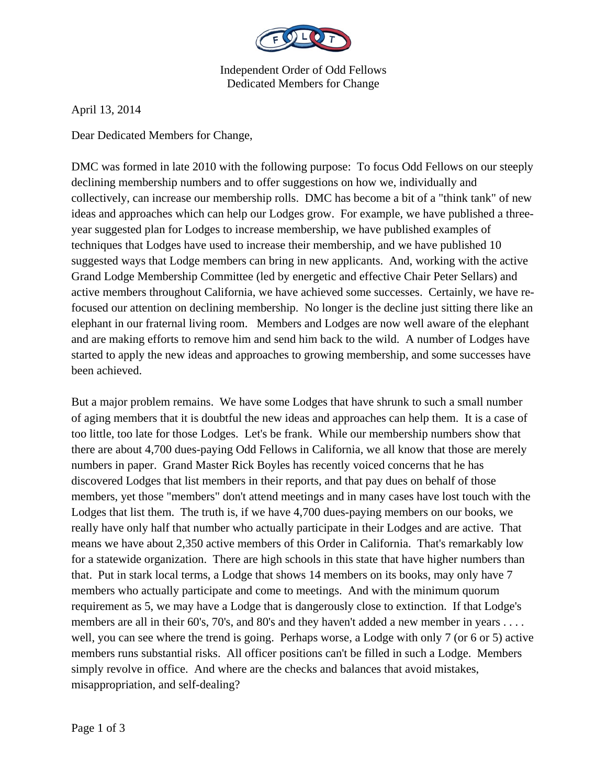

Independent Order of Odd Fellows Dedicated Members for Change

April 13, 2014

Dear Dedicated Members for Change,

DMC was formed in late 2010 with the following purpose: To focus Odd Fellows on our steeply declining membership numbers and to offer suggestions on how we, individually and collectively, can increase our membership rolls. DMC has become a bit of a "think tank" of new ideas and approaches which can help our Lodges grow. For example, we have published a threeyear suggested plan for Lodges to increase membership, we have published examples of techniques that Lodges have used to increase their membership, and we have published 10 suggested ways that Lodge members can bring in new applicants. And, working with the active Grand Lodge Membership Committee (led by energetic and effective Chair Peter Sellars) and active members throughout California, we have achieved some successes. Certainly, we have refocused our attention on declining membership. No longer is the decline just sitting there like an elephant in our fraternal living room. Members and Lodges are now well aware of the elephant and are making efforts to remove him and send him back to the wild. A number of Lodges have started to apply the new ideas and approaches to growing membership, and some successes have been achieved.

But a major problem remains. We have some Lodges that have shrunk to such a small number of aging members that it is doubtful the new ideas and approaches can help them. It is a case of too little, too late for those Lodges. Let's be frank. While our membership numbers show that there are about 4,700 dues-paying Odd Fellows in California, we all know that those are merely numbers in paper. Grand Master Rick Boyles has recently voiced concerns that he has discovered Lodges that list members in their reports, and that pay dues on behalf of those members, yet those "members" don't attend meetings and in many cases have lost touch with the Lodges that list them. The truth is, if we have 4,700 dues-paying members on our books, we really have only half that number who actually participate in their Lodges and are active. That means we have about 2,350 active members of this Order in California. That's remarkably low for a statewide organization. There are high schools in this state that have higher numbers than that. Put in stark local terms, a Lodge that shows 14 members on its books, may only have 7 members who actually participate and come to meetings. And with the minimum quorum requirement as 5, we may have a Lodge that is dangerously close to extinction. If that Lodge's members are all in their 60's, 70's, and 80's and they haven't added a new member in years . . . . well, you can see where the trend is going. Perhaps worse, a Lodge with only 7 (or 6 or 5) active members runs substantial risks. All officer positions can't be filled in such a Lodge. Members simply revolve in office. And where are the checks and balances that avoid mistakes, misappropriation, and self-dealing?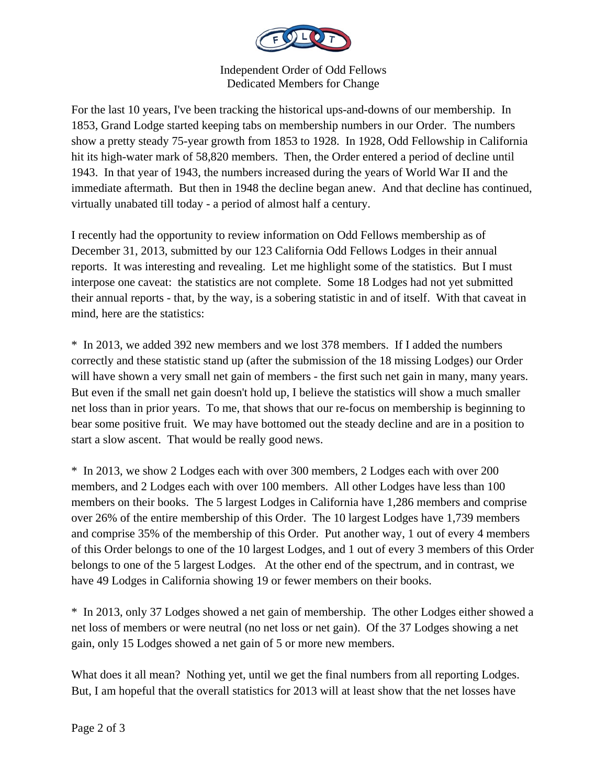

Independent Order of Odd Fellows Dedicated Members for Change

For the last 10 years, I've been tracking the historical ups-and-downs of our membership. In 1853, Grand Lodge started keeping tabs on membership numbers in our Order. The numbers show a pretty steady 75-year growth from 1853 to 1928. In 1928, Odd Fellowship in California hit its high-water mark of 58,820 members. Then, the Order entered a period of decline until 1943. In that year of 1943, the numbers increased during the years of World War II and the immediate aftermath. But then in 1948 the decline began anew. And that decline has continued, virtually unabated till today - a period of almost half a century.

I recently had the opportunity to review information on Odd Fellows membership as of December 31, 2013, submitted by our 123 California Odd Fellows Lodges in their annual reports. It was interesting and revealing. Let me highlight some of the statistics. But I must interpose one caveat: the statistics are not complete. Some 18 Lodges had not yet submitted their annual reports - that, by the way, is a sobering statistic in and of itself. With that caveat in mind, here are the statistics:

\* In 2013, we added 392 new members and we lost 378 members. If I added the numbers correctly and these statistic stand up (after the submission of the 18 missing Lodges) our Order will have shown a very small net gain of members - the first such net gain in many, many years. But even if the small net gain doesn't hold up, I believe the statistics will show a much smaller net loss than in prior years. To me, that shows that our re-focus on membership is beginning to bear some positive fruit. We may have bottomed out the steady decline and are in a position to start a slow ascent. That would be really good news.

\* In 2013, we show 2 Lodges each with over 300 members, 2 Lodges each with over 200 members, and 2 Lodges each with over 100 members. All other Lodges have less than 100 members on their books. The 5 largest Lodges in California have 1,286 members and comprise over 26% of the entire membership of this Order. The 10 largest Lodges have 1,739 members and comprise 35% of the membership of this Order. Put another way, 1 out of every 4 members of this Order belongs to one of the 10 largest Lodges, and 1 out of every 3 members of this Order belongs to one of the 5 largest Lodges. At the other end of the spectrum, and in contrast, we have 49 Lodges in California showing 19 or fewer members on their books.

\* In 2013, only 37 Lodges showed a net gain of membership. The other Lodges either showed a net loss of members or were neutral (no net loss or net gain). Of the 37 Lodges showing a net gain, only 15 Lodges showed a net gain of 5 or more new members.

What does it all mean? Nothing yet, until we get the final numbers from all reporting Lodges. But, I am hopeful that the overall statistics for 2013 will at least show that the net losses have